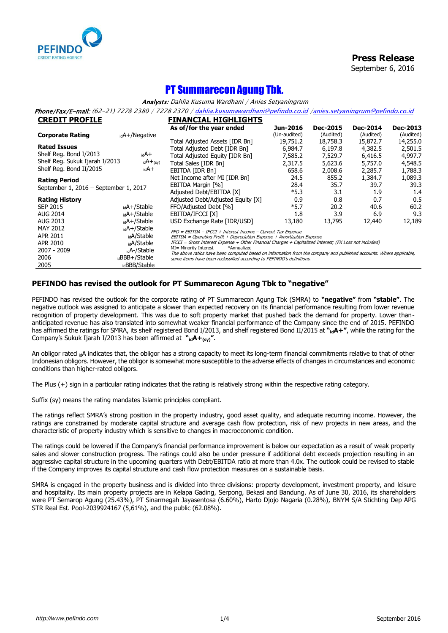

**Press Release**

September 6, 2016

## PT Summarecon Agung Tbk.

Analysts: Dahlia Kusuma Wardhani / Anies Setyaningrum

Phone/Fax/E-mail: (62-21) 7278 2380 / 7278 2370 [/ dahlia.kusumawardhani@pefindo.co.id](mailto:dahlia.kusumawardhani@pefindo.co.id) [/anies.setyaningrum@pefindo.co.id](mailto:anies.setyaningrum@pefindo.co.id)

| <b>CREDIT PROFILE</b>                 |                           | <b>FINANCIAL HIGHLIGHTS</b>                                                                                                                                 |              |                 |                 |                 |  |
|---------------------------------------|---------------------------|-------------------------------------------------------------------------------------------------------------------------------------------------------------|--------------|-----------------|-----------------|-----------------|--|
|                                       |                           | As of/for the year ended                                                                                                                                    | Jun-2016     | <b>Dec-2015</b> | <b>Dec-2014</b> | <b>Dec-2013</b> |  |
| <b>Corporate Rating</b>               | <sub>id</sub> A+/Negative |                                                                                                                                                             | (Un-audited) | (Audited)       | (Audited)       | (Audited)       |  |
|                                       |                           | Total Adjusted Assets [IDR Bn]                                                                                                                              | 19,751.2     | 18,758.3        | 15,872.7        | 14,255.0        |  |
| <b>Rated Issues</b>                   |                           | Total Adjusted Debt [IDR Bn]                                                                                                                                | 6,984.7      | 6,197.8         | 4,382.5         | 2,501.5         |  |
| Shelf Reg. Bond I/2013                | idA+                      | Total Adjusted Equity [IDR Bn]                                                                                                                              | 7,585.2      | 7,529.7         | 6,416.5         | 4,997.7         |  |
| Shelf Reg. Sukuk Ijarah I/2013        | $idA + (sy)$              | Total Sales [IDR Bn]                                                                                                                                        | 2,317.5      | 5,623.6         | 5,757.0         | 4,548.5         |  |
| Shelf Reg. Bond II/2015               | +A <sub>bi</sub>          | EBITDA [IDR Bn]                                                                                                                                             | 658.6        | 2,008.6         | 2,285.7         | 1,788.3         |  |
| <b>Rating Period</b>                  |                           | Net Income after MI [IDR Bn]                                                                                                                                | 24.5         | 855.2           | 1,384.7         | 1,089.3         |  |
| September 1, 2016 - September 1, 2017 |                           | EBITDA Margin [%]                                                                                                                                           | 28.4         | 35.7            | 39.7            | 39.3            |  |
|                                       |                           | Adjusted Debt/EBITDA [X]                                                                                                                                    | $*5.3$       | 3.1             | 1.9             | 1.4             |  |
| <b>Rating History</b>                 |                           | Adjusted Debt/Adjusted Equity [X]                                                                                                                           | 0.9          | 0.8             | 0.7             | 0.5             |  |
| <b>SEP 2015</b>                       | <sub>id</sub> A+/Stable   | FFO/Adjusted Debt [%]                                                                                                                                       | $*5.7$       | 20.2            | 40.6            | 60.2            |  |
| <b>AUG 2014</b>                       | <sub>id</sub> A+/Stable   | EBITDA/IFCCI [X]                                                                                                                                            | 1.8          | 3.9             | 6.9             | 9.3             |  |
| AUG 2013                              | <sub>id</sub> A+/Stable   | USD Exchange Rate [IDR/USD]                                                                                                                                 | 13,180       | 13,795          | 12,440          | 12,189          |  |
| MAY 2012                              | <sub>id</sub> A+/Stable   | FFO = EBITDA - IFCCI + Interest Income - Current Tax Expense                                                                                                |              |                 |                 |                 |  |
| APR 2011                              | <sub>id</sub> A/Stable    | $EBITDA = Operating Profit + Depreciation$ Expense + Amortization Expense + 2mortization Expense                                                            |              |                 |                 |                 |  |
| APR 2010                              | <sub>id</sub> A/Stable    | $IFCCI = Gross Interest$ Expense + Other Financial Charges + Capitalized Interest; (FX Loss not included)                                                   |              |                 |                 |                 |  |
| 2007 - 2009                           | <sub>id</sub> A-/Stable   | MI= Minority Interest<br>*Annualized<br>The above ratios have been computed based on information from the company and published accounts. Where applicable, |              |                 |                 |                 |  |
| 2006                                  | <sub>id</sub> BBB+/Stable | some items have been reclassified according to PEFINDO's definitions.                                                                                       |              |                 |                 |                 |  |
| 2005                                  | idBBB/Stable              |                                                                                                                                                             |              |                 |                 |                 |  |

## **PEFINDO has revised the outlook for PT Summarecon Agung Tbk to "negative"**

PEFINDO has revised the outlook for the corporate rating of PT Summarecon Agung Tbk (SMRA) to **"negative"** from **"stable"**. The negative outlook was assigned to anticipate a slower than expected recovery on its financial performance resulting from lower revenue recognition of property development. This was due to soft property market that pushed back the demand for property. Lower thananticipated revenue has also translated into somewhat weaker financial performance of the Company since the end of 2015. PEFINDO has affirmed the ratings for SMRA, its shelf registered Bond I/2013, and shelf registered Bond II/2015 at **"idA+"**, while the rating for the Company's Sukuk Ijarah I/2013 has been affirmed at **"idA+(sy)"**.

An obligor rated idA indicates that, the obligor has a strong capacity to meet its long-term financial commitments relative to that of other Indonesian obligors. However, the obligor is somewhat more susceptible to the adverse effects of changes in circumstances and economic conditions than higher-rated obligors.

The Plus (+) sign in a particular rating indicates that the rating is relatively strong within the respective rating category.

Suffix (sy) means the rating mandates Islamic principles compliant.

The ratings reflect SMRA's strong position in the property industry, good asset quality, and adequate recurring income. However, the ratings are constrained by moderate capital structure and average cash flow protection, risk of new projects in new areas, and the characteristic of property industry which is sensitive to changes in macroeconomic condition.

The ratings could be lowered if the Company's financial performance improvement is below our expectation as a result of weak property sales and slower construction progress. The ratings could also be under pressure if additional debt exceeds projection resulting in an aggressive capital structure in the upcoming quarters with Debt/EBITDA ratio at more than 4.0x. The outlook could be revised to stable if the Company improves its capital structure and cash flow protection measures on a sustainable basis.

SMRA is engaged in the property business and is divided into three divisions: property development, investment property, and leisure and hospitality. Its main property projects are in Kelapa Gading, Serpong, Bekasi and Bandung. As of June 30, 2016, its shareholders were PT Semarop Agung (25.43%), PT Sinarmegah Jayasentosa (6.60%), Harto Djojo Nagaria (0.28%), BNYM S/A Stichting Dep APG STR Real Est. Pool-2039924167 (5,61%), and the public (62.08%).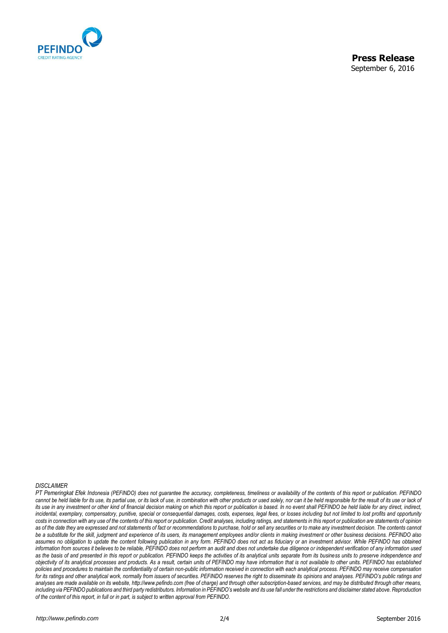

### *DISCLAIMER*

*PT Pemeringkat Efek Indonesia (PEFINDO) does not guarantee the accuracy, completeness, timeliness or availability of the contents of this report or publication. PEFINDO*  cannot be held liable for its use, its partial use, or its lack of use, in combination with other products or used solely, nor can it be held responsible for the result of its use or lack of *its use in any investment or other kind of financial decision making on which this report or publication is based. In no event shall PEFINDO be held liable for any direct, indirect,* incidental, exemplary, compensatory, punitive, special or consequential damages, costs, expenses, legal fees, or losses including but not limited to lost profits and opportunity costs in connection with any use of the contents of this report or publication. Credit analyses, including ratings, and statements in this report or publication are statements of opinion as of the date they are expressed and not statements of fact or recommendations to purchase, hold or sell any securities or to make any investment decision. The contents cannot *be a substitute for the skill, judgment and experience of its users, its management employees and/or clients in making investment or other business decisions. PEFINDO also*  assumes no obligation to update the content following publication in any form. PEFINDO does not act as fiduciary or an investment advisor. While PEFINDO has obtained *information from sources it believes to be reliable, PEFINDO does not perform an audit and does not undertake due diligence or independent verification of any information used as the basis of and presented in this report or publication. PEFINDO keeps the activities of its analytical units separate from its business units to preserve independence and objectivity of its analytical processes and products. As a result, certain units of PEFINDO may have information that is not available to other units. PEFINDO has established policies and procedures to maintain the confidentiality of certain non-public information received in connection with each analytical process. PEFINDO may receive compensation*  for its ratings and other analytical work, normally from issuers of securities. PEFINDO reserves the right to disseminate its opinions and analyses. PEFINDO's public ratings and *analyses are made available on its website, http://www.pefindo.com (free of charge) and through other subscription-based services, and may be distributed through other means,*  including via PEFINDO publications and third party redistributors. Information in PEFINDO's website and its use fall under the restrictions and disclaimer stated above. Reproduction *of the content of this report, in full or in part, is subject to written approval from PEFINDO.*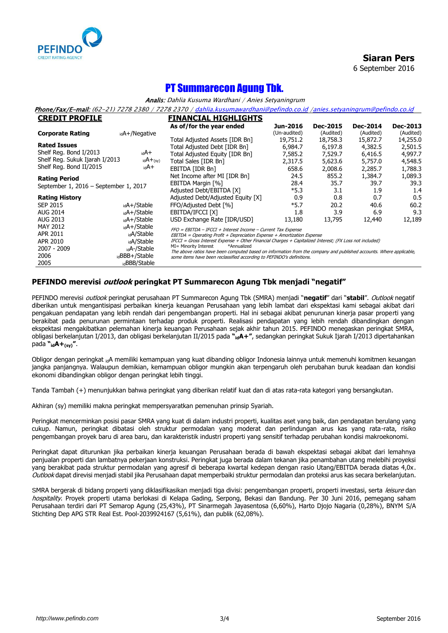

**Siaran Pers** 6 September 2016

# PT Summarecon Agung Tbk.

Analis: Dahlia Kusuma Wardhani / Anies Setyaningrum

Phone/Fax/E-mail: (62-21) 7278 2380 / 7278 2370 [/ dahlia.kusumawardhani@pefindo.co.id](mailto:dahlia.kusumawardhani@pefindo.co.id) [/anies.setyaningrum@pefindo.co.id](mailto:anies.setyaningrum@pefindo.co.id)

| <b>CREDIT PROFILE</b>                                         |                           | <b>FINANCIAL HIGHLIGHTS</b>                                                                                                                                                                                                          |              |                 |                 |           |  |  |
|---------------------------------------------------------------|---------------------------|--------------------------------------------------------------------------------------------------------------------------------------------------------------------------------------------------------------------------------------|--------------|-----------------|-----------------|-----------|--|--|
|                                                               |                           | As of/for the year ended                                                                                                                                                                                                             | Jun-2016     | <b>Dec-2015</b> | <b>Dec-2014</b> | Dec-2013  |  |  |
| <b>Corporate Rating</b>                                       | <sub>id</sub> A+/Negative |                                                                                                                                                                                                                                      | (Un-audited) | (Audited)       | (Audited)       | (Audited) |  |  |
|                                                               |                           | Total Adjusted Assets [IDR Bn]                                                                                                                                                                                                       | 19,751.2     | 18,758.3        | 15,872.7        | 14,255.0  |  |  |
| <b>Rated Issues</b>                                           |                           | Total Adjusted Debt [IDR Bn]                                                                                                                                                                                                         | 6,984.7      | 6,197.8         | 4,382.5         | 2,501.5   |  |  |
| Shelf Reg. Bond I/2013                                        | <sub>id</sub> A+          | Total Adjusted Equity [IDR Bn]                                                                                                                                                                                                       | 7,585.2      | 7,529.7         | 6,416.5         | 4,997.7   |  |  |
| Shelf Reg. Sukuk Ijarah I/2013                                | $_{id}A+_{(sy)}$          | Total Sales [IDR Bn]                                                                                                                                                                                                                 | 2,317.5      | 5,623.6         | 5,757.0         | 4,548.5   |  |  |
| Shelf Reg. Bond II/2015                                       | +A <sub>bi</sub>          | EBITDA [IDR Bn]                                                                                                                                                                                                                      | 658.6        | 2,008.6         | 2,285.7         | 1,788.3   |  |  |
| <b>Rating Period</b><br>September 1, 2016 - September 1, 2017 |                           | Net Income after MI [IDR Bn]                                                                                                                                                                                                         | 24.5         | 855.2           | 1,384.7         | 1,089.3   |  |  |
|                                                               |                           | EBITDA Margin [%]                                                                                                                                                                                                                    | 28.4         | 35.7            | 39.7            | 39.3      |  |  |
|                                                               |                           | Adjusted Debt/EBITDA [X]                                                                                                                                                                                                             | $*5.3$       | 3.1             | 1.9             | 1.4       |  |  |
| <b>Rating History</b>                                         |                           | Adjusted Debt/Adjusted Equity [X]                                                                                                                                                                                                    | 0.9          | 0.8             | 0.7             | 0.5       |  |  |
| <b>SEP 2015</b>                                               | $_{\rm id}$ A+/Stable     | FFO/Adjusted Debt [%]                                                                                                                                                                                                                | $*5.7$       | 20.2            | 40.6            | 60.2      |  |  |
| <b>AUG 2014</b>                                               | <sub>id</sub> A+/Stable   | EBITDA/IFCCI [X]                                                                                                                                                                                                                     | 1.8          | 3.9             | 6.9             | 9.3       |  |  |
| AUG 2013                                                      | <sub>id</sub> A+/Stable   | USD Exchange Rate [IDR/USD]                                                                                                                                                                                                          | 13,180       | 13,795          | 12,440          | 12,189    |  |  |
| MAY 2012                                                      | $_{\rm id}$ A+/Stable     | FFO = EBITDA - IFCCI + Interest Income - Current Tax Expense<br>$EBITDA = Operating Profit + Depreciation$ Expense + Amortization Expense + Amortization Expense                                                                     |              |                 |                 |           |  |  |
| APR 2011                                                      | <sub>id</sub> A/Stable    |                                                                                                                                                                                                                                      |              |                 |                 |           |  |  |
| APR 2010                                                      | <sub>id</sub> A/Stable    | IFCCI = Gross Interest Expense + Other Financial Charges + Capitalized Interest; (FX Loss not included)                                                                                                                              |              |                 |                 |           |  |  |
| 2007 - 2009                                                   | <sub>id</sub> A-/Stable   | MI= Minority Interest<br>*Annualized<br>The above ratios have been computed based on information from the company and published accounts. Where applicable,<br>some items have been reclassified according to PEFINDO's definitions. |              |                 |                 |           |  |  |
| 2006                                                          | <sub>id</sub> BBB+/Stable |                                                                                                                                                                                                                                      |              |                 |                 |           |  |  |
| 2005                                                          | idBBB/Stable              |                                                                                                                                                                                                                                      |              |                 |                 |           |  |  |

## **PEFINDO merevisi outlook peringkat PT Summarecon Agung Tbk menjadi "negatif"**

PEFINDO merevisi outlook peringkat perusahaan PT Summarecon Agung Tbk (SMRA) menjadi "**negatif**" dari "**stabil**". Outlook negatif diberikan untuk mengantisipasi perbaikan kinerja keuangan Perusahaan yang lebih lambat dari ekspektasi kami sebagai akibat dari pengakuan pendapatan yang lebih rendah dari pengembangan properti. Hal ini sebagai akibat penurunan kinerja pasar properti yang berakibat pada penurunan permintaan terhadap produk properti. Realisasi pendapatan yang lebih rendah dibandingkan dengan ekspektasi mengakibatkan pelemahan kinerja keuangan Perusahaan sejak akhir tahun 2015. PEFINDO menegaskan peringkat SMRA, obligasi berkelanjutan I/2013, dan obligasi berkelanjutan II/2015 pada **"idA+"**, sedangkan peringkat Sukuk Ijarah I/2013 dipertahankan pada **"idA+(sy)"**.

Obligor dengan peringkat <sub>id</sub>A memiliki kemampuan yang kuat dibanding obligor Indonesia lainnya untuk memenuhi komitmen keuangan jangka panjangnya. Walaupun demikian, kemampuan obligor mungkin akan terpengaruh oleh perubahan buruk keadaan dan kondisi ekonomi dibandingkan obligor dengan peringkat lebih tinggi.

Tanda Tambah (+) menunjukkan bahwa peringkat yang diberikan relatif kuat dan di atas rata-rata kategori yang bersangkutan.

Akhiran (sy) memiliki makna peringkat mempersyaratkan pemenuhan prinsip Syariah.

Peringkat mencerminkan posisi pasar SMRA yang kuat di dalam industri properti, kualitas aset yang baik, dan pendapatan berulang yang cukup. Namun, peringkat dibatasi oleh struktur permodalan yang moderat dan perlindungan arus kas yang rata-rata, risiko pengembangan proyek baru di area baru, dan karakteristik industri properti yang sensitif terhadap perubahan kondisi makroekonomi.

Peringkat dapat diturunkan jika perbaikan kinerja keuangan Perusahaan berada di bawah ekspektasi sebagai akibat dari lemahnya penjualan properti dan lambatnya pekerjaan konstruksi. Peringkat juga berada dalam tekanan jika penambahan utang melebihi proyeksi yang berakibat pada struktur permodalan yang agresif di beberapa kwartal kedepan dengan rasio Utang/EBITDA berada diatas 4,0x. Outlook dapat direvisi menjadi stabil jika Perusahaan dapat memperbaiki struktur permodalan dan proteksi arus kas secara berkelanjutan.

SMRA bergerak di bidang properti yang diklasifikasikan menjadi tiga divisi: pengembangan properti, properti investasi, serta leisure dan hospitality. Proyek properti utama berlokasi di Kelapa Gading, Serpong, Bekasi dan Bandung. Per 30 Juni 2016, pemegang saham Perusahaan terdiri dari PT Semarop Agung (25,43%), PT Sinarmegah Jayasentosa (6,60%), Harto Djojo Nagaria (0,28%), BNYM S/A Stichting Dep APG STR Real Est. Pool-2039924167 (5,61%), dan publik (62,08%).